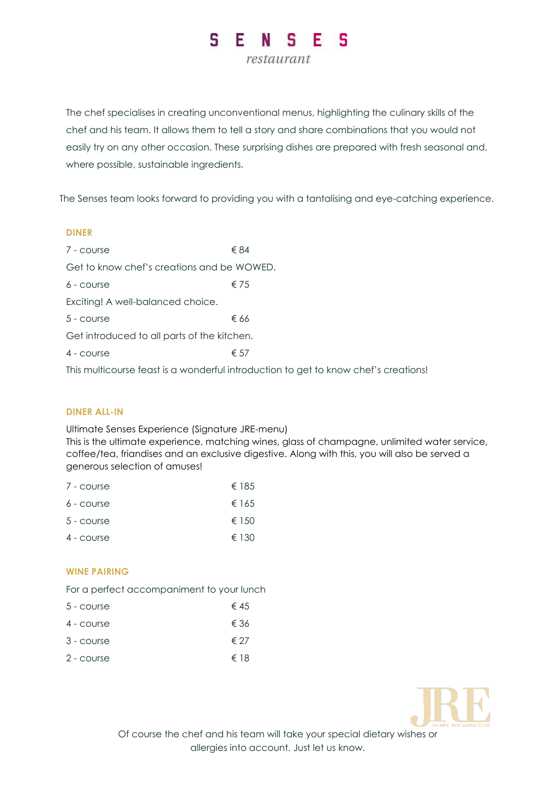#### E. S N S S F. restaurant

The chef specialises in creating unconventional menus, highlighting the culinary skills of the chef and his team. It allows them to tell a story and share combinations that you would not easily try on any other occasion. These surprising dishes are prepared with fresh seasonal and, where possible, sustainable ingredients.

The Senses team looks forward to providing you with a tantalising and eye-catching experience.

## **DINER**

| 7 - course                                  | € 84          |  |
|---------------------------------------------|---------------|--|
| Get to know chef's creations and be WOWED.  |               |  |
| $6 - \text{course}$                         | $\epsilon$ 75 |  |
| Exciting! A well-balanced choice.           |               |  |
| $5 - \text{course}$                         | € 66          |  |
| Get introduced to all parts of the kitchen. |               |  |
| $4$ - COURSE                                | € 57          |  |

This multicourse feast is a wonderful introduction to get to know chef's creations!

# **DINER ALL-IN**

Ultimate Senses Experience (Signature JRE-menu) This is the ultimate experience, matching wines, glass of champagne, unlimited water service, coffee/tea, friandises and an exclusive digestive. Along with this, you will also be served a

| 7 - course          | € 185           |
|---------------------|-----------------|
| $6 - \text{course}$ | € 165           |
| $5 - course$        | $\epsilon$ 1.50 |
| $4 - \text{course}$ | $\epsilon$ 130  |

# **WINE PAIRING**

For a perfect accompaniment to your lunch

| 5 - course          | € 45 |
|---------------------|------|
| 4 - course          | € 36 |
| $3 - \text{course}$ | € 27 |
| 2 - course          | € 18 |